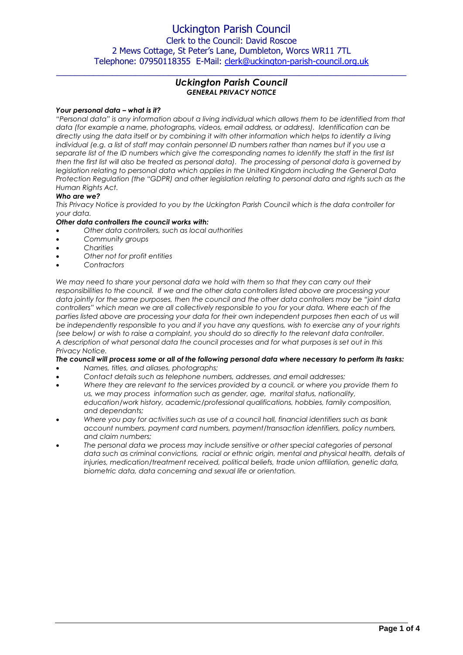# Uckington Parish Council

Clerk to the Council: David Roscoe 2 Mews Cottage, St Peter's Lane, Dumbleton, Worcs WR11 7TL Telephone: 07950118355 E-Mail: [clerk@uckington-parish-council.org.uk](mailto:clerk@uckington-parish-council.org.uk)

# *Uckington Parish Council GENERAL PRIVACY NOTICE*

 $\_$  , and the set of the set of the set of the set of the set of the set of the set of the set of the set of the set of the set of the set of the set of the set of the set of the set of the set of the set of the set of th

### *Your personal data – what is it?*

*"Personal data" is any information about a living individual which allows them to be identified from that data (for example a name, photographs, videos, email address, or address). Identification can be directly using the data itself or by combining it with other information which helps to identify a living individual (e.g. a list of staff may contain personnel ID numbers rather than names but if you use a separate list of the ID numbers which give the corresponding names to identify the staff in the first list then the first list will also be treated as personal data). The processing of personal data is governed by legislation relating to personal data which applies in the United Kingdom including the General Data Protection Regulation (the "GDPR) and other legislation relating to personal data and rights such as the Human Rights Act.*

### *Who are we?*

*This Privacy Notice is provided to you by the Uckington Parish Council which is the data controller for your data.* 

#### *Other data controllers the council works with:*

- *Other data controllers, such as local authorities*
- *Community groups*
- *Charities*
- *Other not for profit entities*
- *Contractors*

We may need to share your personal data we hold with them so that they can carry out their *responsibilities to the council. If we and the other data controllers listed above are processing your data jointly for the same purposes, then the council and the other data controllers may be "joint data controllers" which mean we are all collectively responsible to you for your data. Where each of the*  parties listed above are processing your data for their own independent purposes then each of us will *be independently responsible to you and if you have any questions, wish to exercise any of your rights (see below) or wish to raise a complaint, you should do so directly to the relevant data controller. A description of what personal data the council processes and for what purposes is set out in this Privacy Notice.* 

#### *The council will process some or all of the following personal data where necessary to perform its tasks:*

- *Names, titles, and aliases, photographs;*
- *Contact details such as telephone numbers, addresses, and email addresses;*
- *Where they are relevant to the services provided by a council, or where you provide them to us, we may process information such as gender, age, marital status, nationality, education/work history, academic/professional qualifications, hobbies, family composition, and dependants;*
- *Where you pay for activities such as use of a council hall, financial identifiers such as bank account numbers, payment card numbers, payment/transaction identifiers, policy numbers, and claim numbers;*
- *The personal data we process may include sensitive or other special categories of personal data such as criminal convictions, racial or ethnic origin, mental and physical health, details of injuries, medication/treatment received, political beliefs, trade union affiliation, genetic data, biometric data, data concerning and sexual life or orientation.*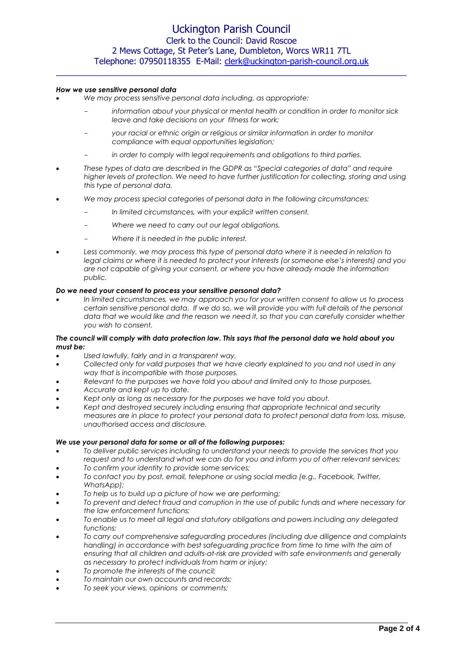# Uckington Parish Council Clerk to the Council: David Roscoe 2 Mews Cottage, St Peter's Lane, Dumbleton, Worcs WR11 7TL Telephone: 07950118355 E-Mail: [clerk@uckington-parish-council.org.uk](mailto:clerk@uckington-parish-council.org.uk)  $\_$  , and the set of the set of the set of the set of the set of the set of the set of the set of the set of the set of the set of the set of the set of the set of the set of the set of the set of the set of the set of th

#### *How we use sensitive personal data*

- *We may process sensitive personal data including, as appropriate:*
	- *information about your physical or mental health or condition in order to monitor sick leave and take decisions on your fitness for work;*
	- *your racial or ethnic origin or religious or similar information in order to monitor compliance with equal opportunities legislation;*
	- *in order to comply with legal requirements and obligations to third parties.*
- *These types of data are described in the GDPR as "Special categories of data" and require*  higher levels of protection. We need to have further justification for collecting, storing and using *this type of personal data.*
- *We may process special categories of personal data in the following circumstances:*
	- *In limited circumstances, with your explicit written consent.*
	- *Where we need to carry out our legal obligations.*
	- *Where it is needed in the public interest.*
- *Less commonly, we may process this type of personal data where it is needed in relation to legal claims or where it is needed to protect your interests (or someone else's interests) and you are not capable of giving your consent, or where you have already made the information public.*

#### *Do we need your consent to process your sensitive personal data?*

• *In limited circumstances, we may approach you for your written consent to allow us to process certain sensitive personal data. If we do so, we will provide you with full details of the personal data that we would like and the reason we need it, so that you can carefully consider whether you wish to consent.* 

#### *The council will comply with data protection law. This says that the personal data we hold about you must be:*

- *Used lawfully, fairly and in a transparent way.*
- *Collected only for valid purposes that we have clearly explained to you and not used in any way that is incompatible with those purposes.*
- *Relevant to the purposes we have told you about and limited only to those purposes.*
- *Accurate and kept up to date.*
- *Kept only as long as necessary for the purposes we have told you about.*
- *Kept and destroyed securely including ensuring that appropriate technical and security measures are in place to protect your personal data to protect personal data from loss, misuse, unauthorised access and disclosure.*

#### *We use your personal data for some or all of the following purposes:*

- *To deliver public services including to understand your needs to provide the services that you request and to understand what we can do for you and inform you of other relevant services;*
- *To confirm your identity to provide some services;*
- *To contact you by post, email, telephone or using social media (e.g., Facebook, Twitter, WhatsApp);*
- *To help us to build up a picture of how we are performing;*
- *To prevent and detect fraud and corruption in the use of public funds and where necessary for the law enforcement functions;*
- *To enable us to meet all legal and statutory obligations and powers including any delegated functions;*
- *To carry out comprehensive safeguarding procedures (including due diligence and complaints handling) in accordance with best safeguarding practice from time to time with the aim of ensuring that all children and adults-at-risk are provided with safe environments and generally as necessary to protect individuals from harm or injury;*
- *To promote the interests of the council;*
- *To maintain our own accounts and records;*
- *To seek your views, opinions or comments;*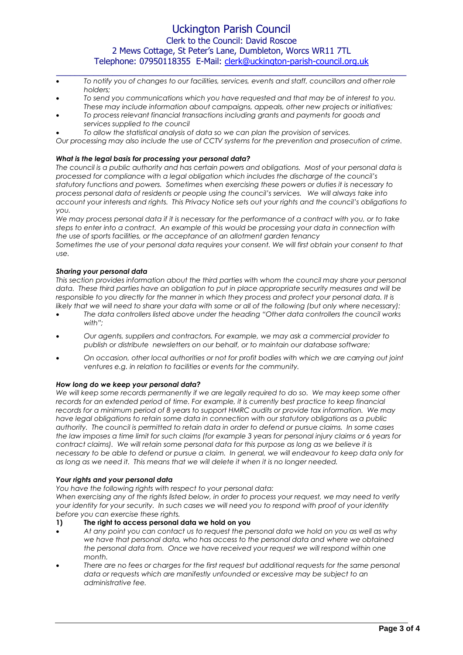# Uckington Parish Council Clerk to the Council: David Roscoe 2 Mews Cottage, St Peter's Lane, Dumbleton, Worcs WR11 7TL Telephone: 07950118355 E-Mail: [clerk@uckington-parish-council.org.uk](mailto:clerk@uckington-parish-council.org.uk)

 $\_$  , and the set of the set of the set of the set of the set of the set of the set of the set of the set of the set of the set of the set of the set of the set of the set of the set of the set of the set of the set of th

- *To notify you of changes to our facilities, services, events and staff, councillors and other role holders;*
- *To send you communications which you have requested and that may be of interest to you. These may include information about campaigns, appeals, other new projects or initiatives;*
- *To process relevant financial transactions including grants and payments for goods and services supplied to the council*
- *To allow the statistical analysis of data so we can plan the provision of services.*

*Our processing may also include the use of CCTV systems for the prevention and prosecution of crime.* 

### *What is the legal basis for processing your personal data?*

*The council is a public authority and has certain powers and obligations. Most of your personal data is processed for compliance with a legal obligation which includes the discharge of the council's statutory functions and powers. Sometimes when exercising these powers or duties it is necessary to process personal data of residents or people using the council's services. We will always take into account your interests and rights. This Privacy Notice sets out your rights and the council's obligations to you.*

*We may process personal data if it is necessary for the performance of a contract with you, or to take steps to enter into a contract. An example of this would be processing your data in connection with the use of sports facilities, or the acceptance of an allotment garden tenancy*

*Sometimes the use of your personal data requires your consent. We will first obtain your consent to that use.*

## *Sharing your personal data*

*This section provides information about the third parties with whom the council may share your personal data. These third parties have an obligation to put in place appropriate security measures and will be responsible to you directly for the manner in which they process and protect your personal data. It is likely that we will need to share your data with some or all of the following (but only where necessary):*

- *The data controllers listed above under the heading "Other data controllers the council works with";*
- *Our agents, suppliers and contractors. For example, we may ask a commercial provider to publish or distribute newsletters on our behalf, or to maintain our database software;*
- *On occasion, other local authorities or not for profit bodies with which we are carrying out joint ventures e.g. in relation to facilities or events for the community.*

#### *How long do we keep your personal data?*

We will keep some records permanently if we are legally required to do so. We may keep some other *records for an extended period of time. For example, it is currently best practice to keep financial records for a minimum period of 8 years to support HMRC audits or provide tax information. We may have legal obligations to retain some data in connection with our statutory obligations as a public authority. The council is permitted to retain data in order to defend or pursue claims. In some cases the law imposes a time limit for such claims (for example 3 years for personal injury claims or 6 years for contract claims). We will retain some personal data for this purpose as long as we believe it is necessary to be able to defend or pursue a claim. In general, we will endeavour to keep data only for as long as we need it. This means that we will delete it when it is no longer needed.*

#### *Your rights and your personal data*

*You have the following rights with respect to your personal data:*

*When exercising any of the rights listed below, in order to process your request, we may need to verify your identity for your security. In such cases we will need you to respond with proof of your identity before you can exercise these rights.*

#### **1) The right to access personal data we hold on you**

- *At any point you can contact us to request the personal data we hold on you as well as why we have that personal data, who has access to the personal data and where we obtained the personal data from. Once we have received your request we will respond within one month.*
- *There are no fees or charges for the first request but additional requests for the same personal data or requests which are manifestly unfounded or excessive may be subject to an administrative fee.*